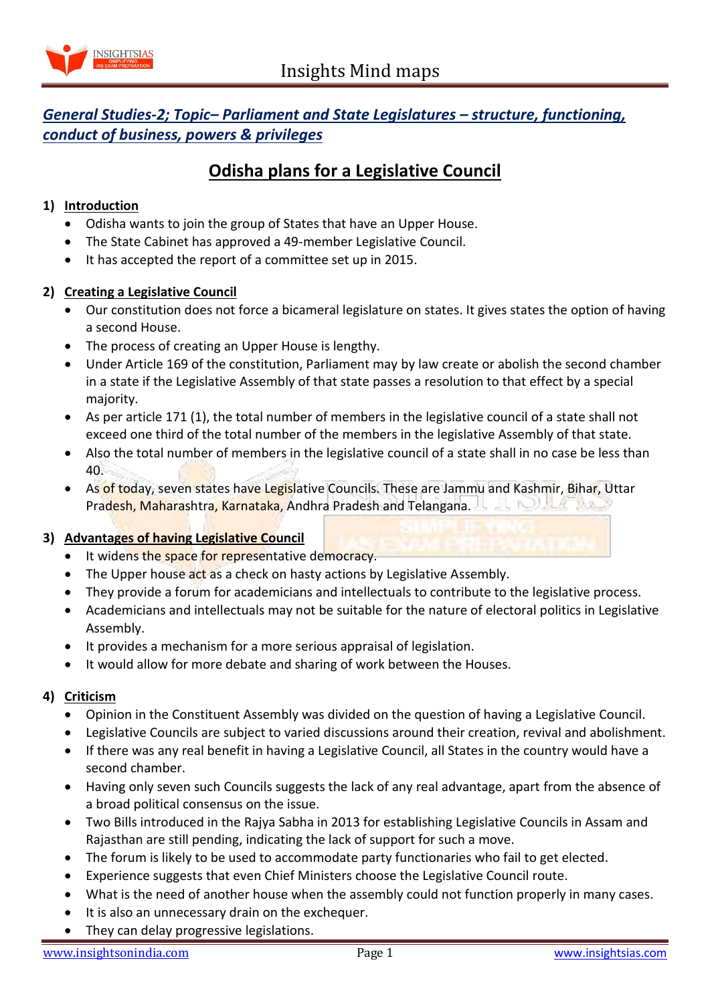

## *General Studies-2; Topic– Parliament and State Legislatures – structure, functioning, conduct of business, powers & privileges*

# **Odisha plans for a Legislative Council**

#### **1) Introduction**

- Odisha wants to join the group of States that have an Upper House.
- The State Cabinet has approved a 49-member Legislative Council.
- It has accepted the report of a committee set up in 2015.

#### **2) Creating a Legislative Council**

- Our constitution does not force a bicameral legislature on states. It gives states the option of having a second House.
- The process of creating an Upper House is lengthy.
- Under Article 169 of the constitution, Parliament may by law create or abolish the second chamber in a state if the Legislative Assembly of that state passes a resolution to that effect by a special majority.
- As per article 171 (1), the total number of members in the legislative council of a state shall not exceed one third of the total number of the members in the legislative Assembly of that state.
- Also the total number of members in the legislative council of a state shall in no case be less than 40.
- As of today, seven states have Legislative Councils. These are Jammu and Kashmir, Bihar, Uttar Pradesh, Maharashtra, Karnataka, Andhra Pradesh and Telangana.

#### **3) Advantages of having Legislative Council**

- **•** It widens the space for representative democracy.
- The Upper house act as a check on hasty actions by Legislative Assembly.
- They provide a forum for academicians and intellectuals to contribute to the legislative process.
- Academicians and intellectuals may not be suitable for the nature of electoral politics in Legislative Assembly.
- It provides a mechanism for a more serious appraisal of legislation.
- It would allow for more debate and sharing of work between the Houses.

### **4) Criticism**

- Opinion in the Constituent Assembly was divided on the question of having a Legislative Council.
- Legislative Councils are subject to varied discussions around their creation, revival and abolishment.
- If there was any real benefit in having a Legislative Council, all States in the country would have a second chamber.
- Having only seven such Councils suggests the lack of any real advantage, apart from the absence of a broad political consensus on the issue.
- Two Bills introduced in the Rajya Sabha in 2013 for establishing Legislative Councils in Assam and Rajasthan are still pending, indicating the lack of support for such a move.
- The forum is likely to be used to accommodate party functionaries who fail to get elected.
- Experience suggests that even Chief Ministers choose the Legislative Council route.
- What is the need of another house when the assembly could not function properly in many cases.
- It is also an unnecessary drain on the exchequer.
- They can delay progressive legislations.